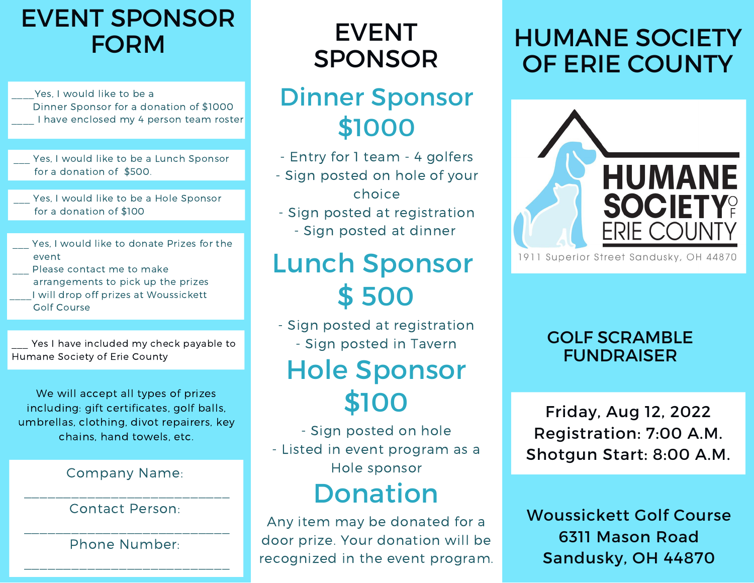# EVENT SPONSOR

Yes, I would like to be a Dinner Sponsor for a donation of \$1000 I have enclosed my 4 person team roster

Yes, I would like to be a Lunch Sponsor for a donation of \$500.

Yes, I would like to be a Hole Sponsor for a donation of \$100

- Yes, I would like to donate Prizes for the event
- Please contact me to make arrangements to pick up the prizes \_\_\_\_I will drop off prizes at Woussickett Golf Course

Yes I have included my check payable to Humane Society of Erie County

We will accept all types of prizes including: gift certificates, golf balls, umbrellas, clothing, divot repairers, key chains, hand towels, etc.

#### Company Name:

\_\_\_\_\_\_\_\_\_\_\_\_\_\_\_\_\_\_\_\_\_\_\_\_\_\_

#### Contact Person:

\_\_\_\_\_\_\_\_\_\_\_\_\_\_\_\_\_\_\_\_\_\_\_\_\_\_ Phone Number: \_\_\_\_\_\_\_\_\_\_\_\_\_\_\_\_\_\_\_\_\_\_\_\_\_\_

### EVENT SPONSOR

#### Dinner Sponsor \$1000

- Entry for 1 team 4 golfers
- Sign posted on hole of your choice
- Sign posted at registration - Sign posted at dinner

# Lunch Sponsor \$ 500

- Sign posted at registration - Sign posted in Tavern

# Hole Sponsor \$100

- Sign posted on hole - Listed in event program as a Hole sponsor

### Donation

Any item may be donated for a door prize. Your donation will be recognized in the event program.

#### FORM EVENT HUMANE SOCIETY OF ERIE COUNTY



1911 Superior Street Sandusky, OH 44870

#### GOLF SCRAMBLE FUNDRAISER

Friday, Aug 12, 2022 Registration: 7:00 A.M. Shotgun Start: 8:00 A.M.

Woussickett Golf Course 6311 Mason Road Sandusky, OH 44870